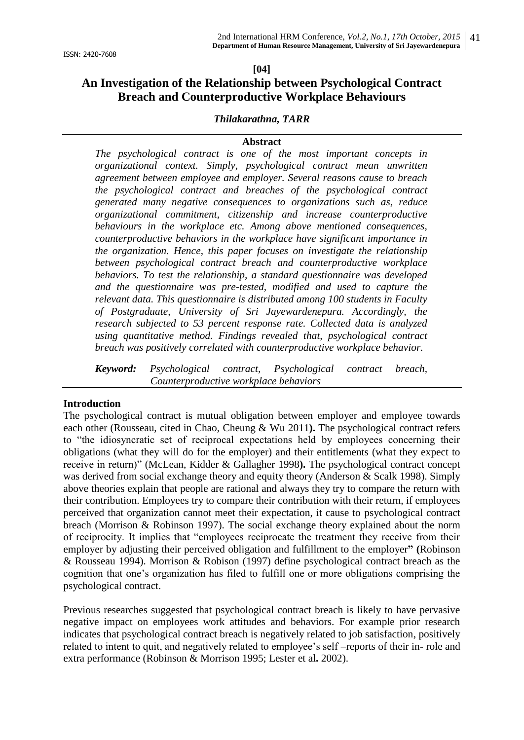#### **[04]**

# **An Investigation of the Relationship between Psychological Contract Breach and Counterproductive Workplace Behaviours**

#### *Thilakarathna, TARR*

#### **Abstract**

*The psychological contract is one of the most important concepts in organizational context. Simply, psychological contract mean unwritten agreement between employee and employer. Several reasons cause to breach the psychological contract and breaches of the psychological contract generated many negative consequences to organizations such as, reduce organizational commitment, citizenship and increase counterproductive behaviours in the workplace etc. Among above mentioned consequences, counterproductive behaviors in the workplace have significant importance in the organization. Hence, this paper focuses on investigate the relationship between psychological contract breach and counterproductive workplace behaviors. To test the relationship, a standard questionnaire was developed and the questionnaire was pre-tested, modified and used to capture the relevant data. This questionnaire is distributed among 100 students in Faculty of Postgraduate, University of Sri Jayewardenepura. Accordingly, the research subjected to 53 percent response rate. Collected data is analyzed using quantitative method. Findings revealed that, psychological contract breach was positively correlated with counterproductive workplace behavior.*

*Keyword: Psychological contract, Psychological contract breach, Counterproductive workplace behaviors*

#### **Introduction**

The psychological contract is mutual obligation between employer and employee towards each other (Rousseau, cited in Chao, Cheung & Wu 2011**).** The psychological contract refers to "the idiosyncratic set of reciprocal expectations held by employees concerning their obligations (what they will do for the employer) and their entitlements (what they expect to receive in return)" (McLean, Kidder & Gallagher 1998**).** The psychological contract concept was derived from social exchange theory and equity theory (Anderson & Scalk 1998). Simply above theories explain that people are rational and always they try to compare the return with their contribution. Employees try to compare their contribution with their return, if employees perceived that organization cannot meet their expectation, it cause to psychological contract breach (Morrison & Robinson 1997). The social exchange theory explained about the norm of reciprocity. It implies that "employees reciprocate the treatment they receive from their employer by adjusting their perceived obligation and fulfillment to the employer**" (**Robinson & Rousseau 1994). Morrison & Robison (1997) define psychological contract breach as the cognition that one"s organization has filed to fulfill one or more obligations comprising the psychological contract.

Previous researches suggested that psychological contract breach is likely to have pervasive negative impact on employees work attitudes and behaviors. For example prior research indicates that psychological contract breach is negatively related to job satisfaction, positively related to intent to quit, and negatively related to employee's self-reports of their in-role and extra performance (Robinson & Morrison 1995; Lester et al**.** 2002).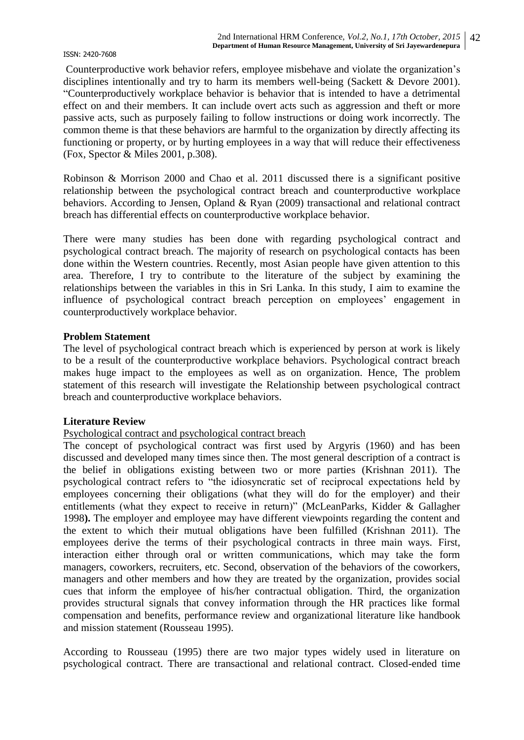Counterproductive work behavior refers, employee misbehave and violate the organization"s disciplines intentionally and try to harm its members well-being (Sackett & Devore 2001). "Counterproductively workplace behavior is behavior that is intended to have a detrimental effect on and their members. It can include overt acts such as aggression and theft or more passive acts, such as purposely failing to follow instructions or doing work incorrectly. The common theme is that these behaviors are harmful to the organization by directly affecting its functioning or property, or by hurting employees in a way that will reduce their effectiveness (Fox, Spector & Miles 2001, p.308).

Robinson & Morrison 2000 and Chao et al. 2011 discussed there is a significant positive relationship between the psychological contract breach and counterproductive workplace behaviors. According to Jensen, Opland & Ryan (2009) transactional and relational contract breach has differential effects on counterproductive workplace behavior.

There were many studies has been done with regarding psychological contract and psychological contract breach. The majority of research on psychological contacts has been done within the Western countries. Recently, most Asian people have given attention to this area. Therefore, I try to contribute to the literature of the subject by examining the relationships between the variables in this in Sri Lanka. In this study, I aim to examine the influence of psychological contract breach perception on employees' engagement in counterproductively workplace behavior.

#### **Problem Statement**

The level of psychological contract breach which is experienced by person at work is likely to be a result of the counterproductive workplace behaviors. Psychological contract breach makes huge impact to the employees as well as on organization. Hence, The problem statement of this research will investigate the Relationship between psychological contract breach and counterproductive workplace behaviors.

### **Literature Review**

### Psychological contract and psychological contract breach

The concept of psychological contract was first used by Argyris (1960) and has been discussed and developed many times since then. The most general description of a contract is the belief in obligations existing between two or more parties (Krishnan 2011). The psychological contract refers to "the idiosyncratic set of reciprocal expectations held by employees concerning their obligations (what they will do for the employer) and their entitlements (what they expect to receive in return)" (McLeanParks, Kidder & Gallagher 1998**).** The employer and employee may have different viewpoints regarding the content and the extent to which their mutual obligations have been fulfilled (Krishnan 2011). The employees derive the terms of their psychological contracts in three main ways. First, interaction either through oral or written communications, which may take the form managers, coworkers, recruiters, etc. Second, observation of the behaviors of the coworkers, managers and other members and how they are treated by the organization, provides social cues that inform the employee of his/her contractual obligation. Third, the organization provides structural signals that convey information through the HR practices like formal compensation and benefits, performance review and organizational literature like handbook and mission statement (Rousseau 1995).

According to Rousseau (1995) there are two major types widely used in literature on psychological contract. There are transactional and relational contract. Closed-ended time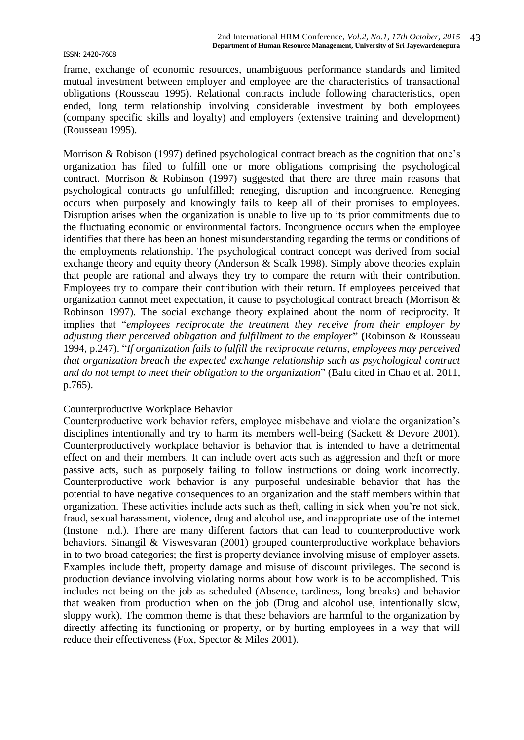frame, exchange of economic resources, unambiguous performance standards and limited mutual investment between employer and employee are the characteristics of transactional obligations (Rousseau 1995). Relational contracts include following characteristics, open ended, long term relationship involving considerable investment by both employees (company specific skills and loyalty) and employers (extensive training and development) (Rousseau 1995).

Morrison & Robison (1997) defined psychological contract breach as the cognition that one's organization has filed to fulfill one or more obligations comprising the psychological contract. Morrison & Robinson (1997) suggested that there are three main reasons that psychological contracts go unfulfilled; reneging, disruption and incongruence. Reneging occurs when purposely and knowingly fails to keep all of their promises to employees. Disruption arises when the organization is unable to live up to its prior commitments due to the fluctuating economic or environmental factors. Incongruence occurs when the employee identifies that there has been an honest misunderstanding regarding the terms or conditions of the employments relationship. The psychological contract concept was derived from social exchange theory and equity theory (Anderson & Scalk 1998). Simply above theories explain that people are rational and always they try to compare the return with their contribution. Employees try to compare their contribution with their return. If employees perceived that organization cannot meet expectation, it cause to psychological contract breach (Morrison & Robinson 1997). The social exchange theory explained about the norm of reciprocity. It implies that "*employees reciprocate the treatment they receive from their employer by adjusting their perceived obligation and fulfillment to the employer***" (**Robinson & Rousseau 1994, p.247). "*If organization fails to fulfill the reciprocate returns, employees may perceived that organization breach the expected exchange relationship such as psychological contract and do not tempt to meet their obligation to the organization*" (Balu cited in Chao et al. 2011, p.765).

#### Counterproductive Workplace Behavior

Counterproductive work behavior refers, employee misbehave and violate the organization"s disciplines intentionally and try to harm its members well-being (Sackett & Devore 2001). Counterproductively workplace behavior is behavior that is intended to have a detrimental effect on and their members. It can include overt acts such as aggression and theft or more passive acts, such as purposely failing to follow instructions or doing work incorrectly. Counterproductive work behavior is any purposeful undesirable behavior that has the potential to have negative consequences to an organization and the staff members within that organization. These activities include acts such as theft, calling in sick when you"re not sick, fraud, sexual harassment, violence, drug and alcohol use, and inappropriate use of the internet (Instone n.d.). There are many different factors that can lead to counterproductive work behaviors. Sinangil & Viswesvaran (2001) grouped counterproductive workplace behaviors in to two broad categories; the first is property deviance involving misuse of employer assets. Examples include theft, property damage and misuse of discount privileges. The second is production deviance involving violating norms about how work is to be accomplished. This includes not being on the job as scheduled (Absence, tardiness, long breaks) and behavior that weaken from production when on the job (Drug and alcohol use, intentionally slow, sloppy work). The common theme is that these behaviors are harmful to the organization by directly affecting its functioning or property, or by hurting employees in a way that will reduce their effectiveness (Fox, Spector & Miles 2001).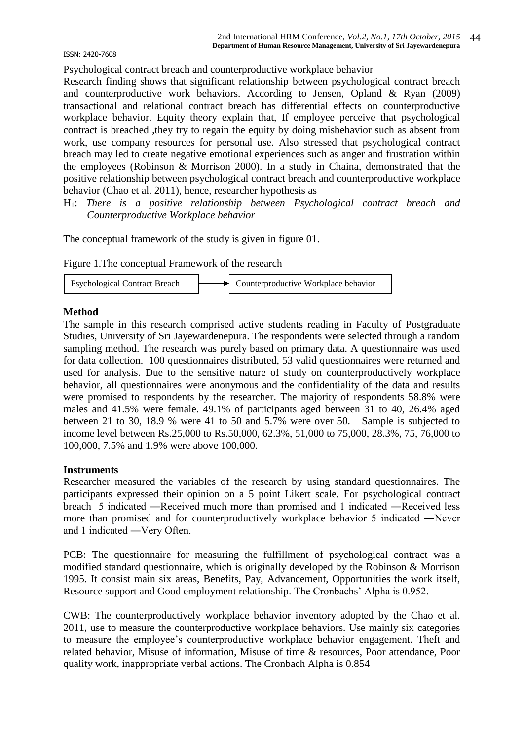Psychological contract breach and counterproductive workplace behavior

Research finding shows that significant relationship between psychological contract breach and counterproductive work behaviors. According to Jensen, Opland & Ryan (2009) transactional and relational contract breach has differential effects on counterproductive workplace behavior. Equity theory explain that, If employee perceive that psychological contract is breached ,they try to regain the equity by doing misbehavior such as absent from work, use company resources for personal use. Also stressed that psychological contract breach may led to create negative emotional experiences such as anger and frustration within the employees (Robinson & Morrison 2000). In a study in Chaina, demonstrated that the positive relationship between psychological contract breach and counterproductive workplace behavior (Chao et al. 2011), hence, researcher hypothesis as

H1: *There is a positive relationship between Psychological contract breach and Counterproductive Workplace behavior*

The conceptual framework of the study is given in figure 01.

Figure 1.The conceptual Framework of the research



#### **Method**

The sample in this research comprised active students reading in Faculty of Postgraduate Studies, University of Sri Jayewardenepura. The respondents were selected through a random sampling method. The research was purely based on primary data. A questionnaire was used for data collection. 100 questionnaires distributed, 53 valid questionnaires were returned and used for analysis. Due to the sensitive nature of study on counterproductively workplace behavior, all questionnaires were anonymous and the confidentiality of the data and results were promised to respondents by the researcher. The majority of respondents 58.8% were males and 41.5% were female. 49.1% of participants aged between 31 to 40, 26.4% aged between 21 to 30, 18.9 % were 41 to 50 and 5.7% were over 50. Sample is subjected to income level between Rs.25,000 to Rs.50,000, 62.3%, 51,000 to 75,000, 28.3%, 75, 76,000 to 100,000, 7.5% and 1.9% were above 100,000.

#### **Instruments**

Researcher measured the variables of the research by using standard questionnaires. The participants expressed their opinion on a 5 point Likert scale. For psychological contract breach 5 indicated ―Received much more than promised and 1 indicated ―Received less more than promised and for counterproductively workplace behavior 5 indicated ―Never and 1 indicated ―Very Often.

PCB: The questionnaire for measuring the fulfillment of psychological contract was a modified standard questionnaire, which is originally developed by the Robinson & Morrison 1995. It consist main six areas, Benefits, Pay, Advancement, Opportunities the work itself, Resource support and Good employment relationship. The Cronbachs' Alpha is 0.952.

CWB: The counterproductively workplace behavior inventory adopted by the Chao et al. 2011, use to measure the counterproductive workplace behaviors. Use mainly six categories to measure the employee"s counterproductive workplace behavior engagement. Theft and related behavior, Misuse of information, Misuse of time & resources, Poor attendance, Poor quality work, inappropriate verbal actions. The Cronbach Alpha is 0.854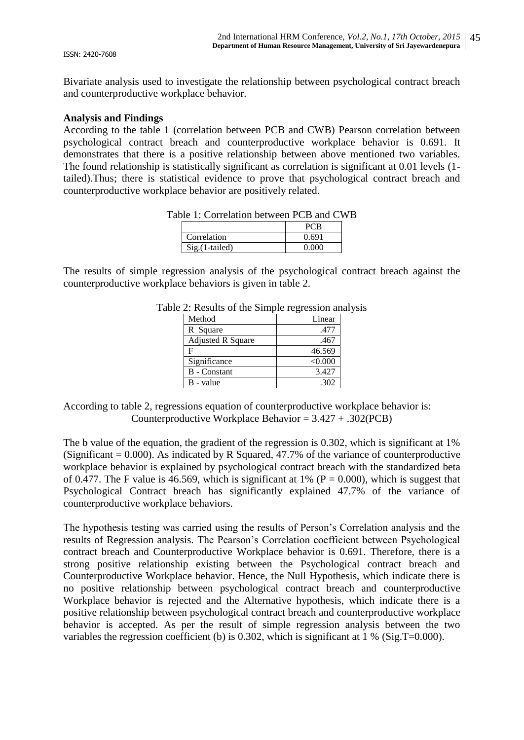Bivariate analysis used to investigate the relationship between psychological contract breach and counterproductive workplace behavior.

#### **Analysis and Findings**

According to the table 1 (correlation between PCB and CWB) Pearson correlation between psychological contract breach and counterproductive workplace behavior is 0.691. It demonstrates that there is a positive relationship between above mentioned two variables. The found relationship is statistically significant as correlation is significant at 0.01 levels (1 tailed).Thus; there is statistical evidence to prove that psychological contract breach and counterproductive workplace behavior are positively related.

Table 1: Correlation between PCB and CWB

|                  | PCB   |
|------------------|-------|
| Correlation      | 0.691 |
| $Sig.(1-tailed)$ | 0.000 |

The results of simple regression analysis of the psychological contract breach against the counterproductive workplace behaviors is given in table 2.

| Method                   | Linear  |
|--------------------------|---------|
| R Square                 | .477    |
| <b>Adjusted R Square</b> | .467    |
| F                        | 46.569  |
| Significance             | < 0.000 |
| <b>B</b> - Constant      | 3.427   |
| B - value                | .302    |

Table 2: Results of the Simple regression analysis

According to table 2, regressions equation of counterproductive workplace behavior is: Counterproductive Workplace Behavior = 3.427 + .302(PCB)

The b value of the equation, the gradient of the regression is 0.302, which is significant at 1% (Significant  $= 0.000$ ). As indicated by R Squared, 47.7% of the variance of counterproductive workplace behavior is explained by psychological contract breach with the standardized beta of 0.477. The F value is 46.569, which is significant at 1% ( $P = 0.000$ ), which is suggest that Psychological Contract breach has significantly explained 47.7% of the variance of counterproductive workplace behaviors.

The hypothesis testing was carried using the results of Person"s Correlation analysis and the results of Regression analysis. The Pearson"s Correlation coefficient between Psychological contract breach and Counterproductive Workplace behavior is 0.691. Therefore, there is a strong positive relationship existing between the Psychological contract breach and Counterproductive Workplace behavior. Hence, the Null Hypothesis, which indicate there is no positive relationship between psychological contract breach and counterproductive Workplace behavior is rejected and the Alternative hypothesis, which indicate there is a positive relationship between psychological contract breach and counterproductive workplace behavior is accepted. As per the result of simple regression analysis between the two variables the regression coefficient (b) is 0.302, which is significant at 1 % (Sig.T=0.000).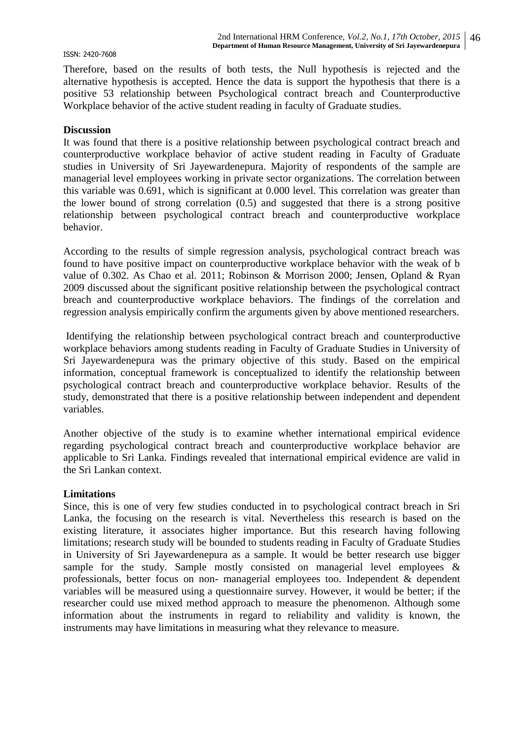Therefore, based on the results of both tests, the Null hypothesis is rejected and the alternative hypothesis is accepted. Hence the data is support the hypothesis that there is a positive 53 relationship between Psychological contract breach and Counterproductive Workplace behavior of the active student reading in faculty of Graduate studies.

#### **Discussion**

It was found that there is a positive relationship between psychological contract breach and counterproductive workplace behavior of active student reading in Faculty of Graduate studies in University of Sri Jayewardenepura. Majority of respondents of the sample are managerial level employees working in private sector organizations. The correlation between this variable was 0.691, which is significant at 0.000 level. This correlation was greater than the lower bound of strong correlation (0.5) and suggested that there is a strong positive relationship between psychological contract breach and counterproductive workplace behavior.

According to the results of simple regression analysis, psychological contract breach was found to have positive impact on counterproductive workplace behavior with the weak of b value of 0.302. As Chao et al. 2011; Robinson & Morrison 2000; Jensen, Opland & Ryan 2009 discussed about the significant positive relationship between the psychological contract breach and counterproductive workplace behaviors. The findings of the correlation and regression analysis empirically confirm the arguments given by above mentioned researchers.

Identifying the relationship between psychological contract breach and counterproductive workplace behaviors among students reading in Faculty of Graduate Studies in University of Sri Jayewardenepura was the primary objective of this study. Based on the empirical information, conceptual framework is conceptualized to identify the relationship between psychological contract breach and counterproductive workplace behavior. Results of the study, demonstrated that there is a positive relationship between independent and dependent variables.

Another objective of the study is to examine whether international empirical evidence regarding psychological contract breach and counterproductive workplace behavior are applicable to Sri Lanka. Findings revealed that international empirical evidence are valid in the Sri Lankan context.

#### **Limitations**

Since, this is one of very few studies conducted in to psychological contract breach in Sri Lanka, the focusing on the research is vital. Nevertheless this research is based on the existing literature, it associates higher importance. But this research having following limitations; research study will be bounded to students reading in Faculty of Graduate Studies in University of Sri Jayewardenepura as a sample. It would be better research use bigger sample for the study. Sample mostly consisted on managerial level employees & professionals, better focus on non- managerial employees too. Independent & dependent variables will be measured using a questionnaire survey. However, it would be better; if the researcher could use mixed method approach to measure the phenomenon. Although some information about the instruments in regard to reliability and validity is known, the instruments may have limitations in measuring what they relevance to measure.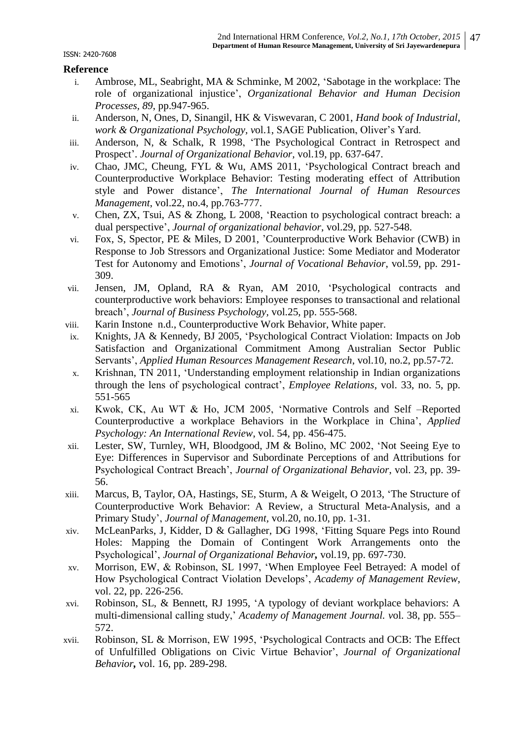### **Reference**

- i. Ambrose, ML, Seabright, MA & Schminke, M 2002, "Sabotage in the workplace: The role of organizational injustice", *Organizational Behavior and Human Decision Processes, 89*, pp.947-965.
- ii. Anderson, N, Ones, D, Sinangil, HK & Viswevaran, C 2001, *Hand book of Industrial, work & Organizational Psychology, v*ol.1, SAGE Publication, Oliver"s Yard.
- iii. Anderson, N, & Schalk, R 1998, "The Psychological Contract in Retrospect and Prospect". *Journal of Organizational Behavior,* vol.19, pp. 637-647.
- iv. Chao, JMC, Cheung, FYL & Wu, AMS 2011, "Psychological Contract breach and Counterproductive Workplace Behavior: Testing moderating effect of Attribution style and Power distance", *The International Journal of Human Resources Management*, vol.22, no.4, pp.763-777.
- v. Chen, ZX, Tsui, AS & Zhong, L 2008, "Reaction to psychological contract breach: a dual perspective", *Journal of organizational behavior*, vol.29, pp. 527-548.
- vi. Fox, S, Spector, PE & Miles, D 2001, "Counterproductive Work Behavior (CWB) in Response to Job Stressors and Organizational Justice: Some Mediator and Moderator Test for Autonomy and Emotions", *Journal of Vocational Behavior*, vol.59, pp. 291- 309.
- vii. Jensen, JM, Opland, RA & Ryan, AM 2010, "Psychological contracts and counterproductive work behaviors: Employee responses to transactional and relational breach", *Journal of Business Psychology,* vol.25, pp. 555-568.
- viii. Karin Instone n.d., Counterproductive Work Behavior, White paper.
- ix. Knights, JA & Kennedy, BJ 2005, "Psychological Contract Violation: Impacts on Job Satisfaction and Organizational Commitment Among Australian Sector Public Servants", *Applied Human Resources Management Research*, vol.10, no.2, pp.57-72.
- x. Krishnan, TN 2011, "Understanding employment relationship in Indian organizations through the lens of psychological contract", *Employee Relations*, vol. 33, no. 5, pp. 551-565
- xi. Kwok, CK, Au WT & Ho, JCM 2005, "Normative Controls and Self –Reported Counterproductive a workplace Behaviors in the Workplace in China", *Applied Psychology: An International Review*, vol. 54, pp. 456-475.
- xii. Lester, SW, Turnley, WH, Bloodgood, JM & Bolino, MC 2002, "Not Seeing Eye to Eye: Differences in Supervisor and Subordinate Perceptions of and Attributions for Psychological Contract Breach", *Journal of Organizational Behavior*, vol. 23, pp. 39- 56.
- xiii. Marcus, B, Taylor, OA, Hastings, SE, Sturm, A & Weigelt, O 2013, "The Structure of Counterproductive Work Behavior: A Review, a Structural Meta-Analysis, and a Primary Study", *Journal of Management,* vol.20, no.10, pp. 1-31.
- xiv. McLeanParks, J, Kidder, D & Gallagher, DG 1998, "Fitting Square Pegs into Round Holes: Mapping the Domain of Contingent Work Arrangements onto the Psychological", *Journal of Organizational Behavior,* vol.19, pp. 697-730.
- xv. Morrison, EW, & Robinson, SL 1997, "When Employee Feel Betrayed: A model of How Psychological Contract Violation Develops", *Academy of Management Review*, vol. 22, pp. 226-256.
- xvi. Robinson, SL, & Bennett, RJ 1995, "A typology of deviant workplace behaviors: A multi-dimensional calling study," *Academy of Management Journal. v*ol. 38, pp. 555– 572.
- xvii. Robinson, SL & Morrison, EW 1995, "Psychological Contracts and OCB: The Effect of Unfulfilled Obligations on Civic Virtue Behavior", *Journal of Organizational Behavior,* vol. 16, pp. 289-298.